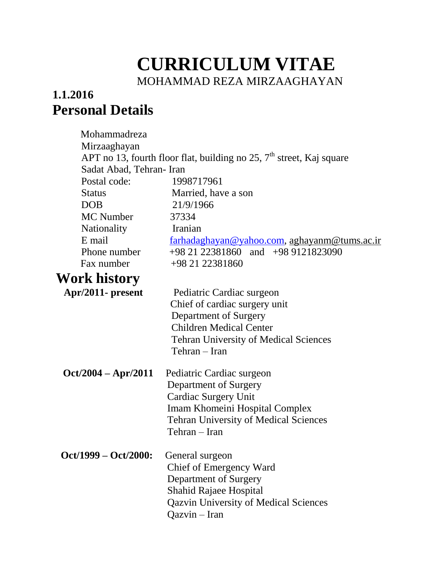# **CURRICULUM VITAE** MOHAMMAD REZA MIRZAAGHAYAN

#### **1.1.2016 Personal Details**

| Mohammadreza             |                                                                                                                                                                                        |
|--------------------------|----------------------------------------------------------------------------------------------------------------------------------------------------------------------------------------|
| Mirzaaghayan             |                                                                                                                                                                                        |
|                          | APT no 13, fourth floor flat, building no 25, $7th$ street, Kaj square                                                                                                                 |
| Sadat Abad, Tehran- Iran |                                                                                                                                                                                        |
| Postal code:             | 1998717961                                                                                                                                                                             |
| <b>Status</b>            | Married, have a son                                                                                                                                                                    |
| <b>DOB</b>               | 21/9/1966                                                                                                                                                                              |
| <b>MC</b> Number         | 37334                                                                                                                                                                                  |
| Nationality              | Iranian                                                                                                                                                                                |
| E mail                   | farhadaghayan@yahoo.com, aghayanm@tums.ac.ir                                                                                                                                           |
| Phone number             | $+982122381860$ and $+989121823090$                                                                                                                                                    |
| Fax number               | +98 21 22381860                                                                                                                                                                        |
| Work history             |                                                                                                                                                                                        |
| Apr/2011- present        | Pediatric Cardiac surgeon<br>Chief of cardiac surgery unit<br>Department of Surgery<br><b>Children Medical Center</b><br><b>Tehran University of Medical Sciences</b><br>Tehran – Iran |
| $Oct/2004 - Apr/2011$    | Pediatric Cardiac surgeon<br>Department of Surgery<br><b>Cardiac Surgery Unit</b><br>Imam Khomeini Hospital Complex<br><b>Tehran University of Medical Sciences</b><br>Tehran - Iran   |
| Oct/1999 - Oct/2000:     | General surgeon<br>Chief of Emergency Ward<br>Department of Surgery<br>Shahid Rajaee Hospital<br><b>Qazvin University of Medical Sciences</b><br>Qazvin - Iran                         |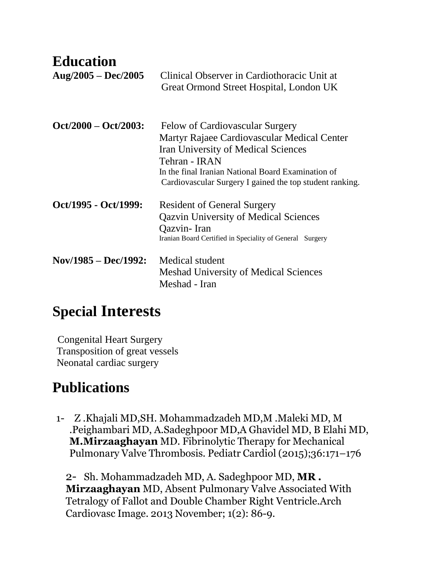| <b>Education</b><br>$Aug/2005 - Dec/2005$ | Clinical Observer in Cardiothoracic Unit at<br>Great Ormond Street Hospital, London UK                                                                                                                                                                          |
|-------------------------------------------|-----------------------------------------------------------------------------------------------------------------------------------------------------------------------------------------------------------------------------------------------------------------|
| $Oct/2000 - Oct/2003$ :                   | Felow of Cardiovascular Surgery<br>Martyr Rajaee Cardiovascular Medical Center<br><b>Iran University of Medical Sciences</b><br>Tehran - IRAN<br>In the final Iranian National Board Examination of<br>Cardiovascular Surgery I gained the top student ranking. |
| Oct/1995 - Oct/1999:                      | <b>Resident of General Surgery</b><br><b>Qazvin University of Medical Sciences</b><br>Qazvin-Iran<br>Iranian Board Certified in Speciality of General Surgery                                                                                                   |
| $Nov/1985 - Dec/1992$ :                   | Medical student<br><b>Meshad University of Medical Sciences</b><br>Meshad - Iran                                                                                                                                                                                |

## **Special Interests**

Congenital Heart Surgery Transposition of great vessels Neonatal cardiac surgery

## **Publications**

1- Z .Khajali MD,SH. Mohammadzadeh MD,M .Maleki MD, M .Peighambari MD, A.Sadeghpoor MD,A Ghavidel MD, B Elahi MD, **M.Mirzaaghayan** MD. Fibrinolytic Therapy for Mechanical Pulmonary Valve Thrombosis. Pediatr Cardiol (2015);36:171–176

2- Sh. Mohammadzadeh MD, A. Sadeghpoor MD, **MR . Mirzaaghayan** MD, Absent Pulmonary Valve Associated With Tetralogy of Fallot and Double Chamber Right Ventricle.Arch Cardiovasc Image. 2013 November; 1(2): 86-9.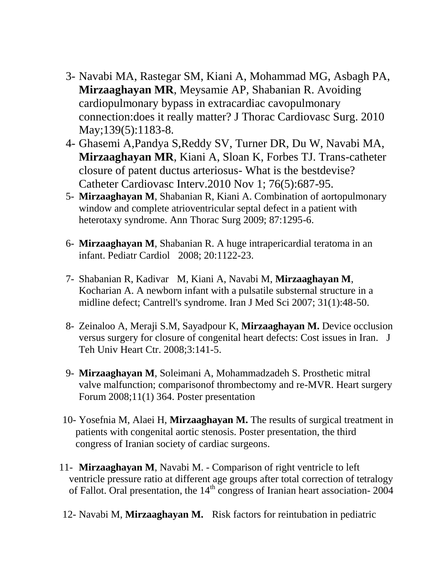- 3- Navabi MA, Rastegar SM, Kiani A, Mohammad MG, Asbagh PA, **Mirzaaghayan MR**, Meysamie AP, Shabanian R. Avoiding cardiopulmonary bypass in extracardiac cavopulmonary connection:does it really matter? J Thorac Cardiovasc Surg. 2010 May;139(5):1183-8.
- 4- Ghasemi A,Pandya S,Reddy SV, Turner DR, Du W, Navabi MA, **Mirzaaghayan MR**, Kiani A, Sloan K, Forbes TJ. Trans-catheter closure of patent ductus arteriosus- What is the bestdevise? Catheter Cardiovasc Interv.2010 Nov 1; 76(5):687-95.
- 5- **Mirzaaghayan M**, Shabanian R, Kiani A. Combination of aortopulmonary window and complete atrioventricular septal defect in a patient with heterotaxy syndrome. Ann Thorac Surg 2009; 87:1295-6.
- 6- **Mirzaaghayan M**, Shabanian R. A huge intrapericardial teratoma in an infant. Pediatr Cardiol 2008; 20:1122-23.
- 7- Shabanian R, Kadivar M, Kiani A, Navabi M, **Mirzaaghayan M**, Kocharian A. A newborn infant with a pulsatile substernal structure in a midline defect; Cantrell's syndrome. Iran J Med Sci 2007; 31(1):48-50.
- 8- Zeinaloo A, Meraji S.M, Sayadpour K, **Mirzaaghayan M.** Device occlusion versus surgery for closure of congenital heart defects: Cost issues in Iran. J Teh Univ Heart Ctr. 2008;3:141-5.
- 9- **Mirzaaghayan M**, Soleimani A, Mohammadzadeh S. Prosthetic mitral valve malfunction; comparisonof thrombectomy and re-MVR. Heart surgery Forum 2008;11(1) 364. Poster presentation
- 10- Yosefnia M, Alaei H, **Mirzaaghayan M.** The results of surgical treatment in patients with congenital aortic stenosis. Poster presentation, the third congress of Iranian society of cardiac surgeons.
- 11- **Mirzaaghayan M**, Navabi M. Comparison of right ventricle to left ventricle pressure ratio at different age groups after total correction of tetralogy of Fallot. Oral presentation, the  $14<sup>th</sup>$  congress of Iranian heart association- 2004
- 12- Navabi M, **Mirzaaghayan M.** Risk factors for reintubation in pediatric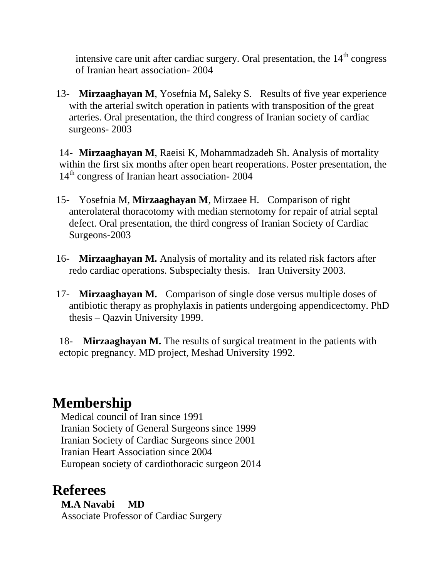intensive care unit after cardiac surgery. Oral presentation, the  $14<sup>th</sup>$  congress of Iranian heart association- 2004

13- **Mirzaaghayan M**, Yosefnia M**,** Saleky S. Results of five year experience with the arterial switch operation in patients with transposition of the great arteries. Oral presentation, the third congress of Iranian society of cardiac surgeons- 2003

14- **Mirzaaghayan M**, Raeisi K, Mohammadzadeh Sh. Analysis of mortality within the first six months after open heart reoperations. Poster presentation, the 14<sup>th</sup> congress of Iranian heart association- 2004

- 15- Yosefnia M, **Mirzaaghayan M**, Mirzaee H. Comparison of right anterolateral thoracotomy with median sternotomy for repair of atrial septal defect. Oral presentation, the third congress of Iranian Society of Cardiac Surgeons-2003
- 16- **Mirzaaghayan M.** Analysis of mortality and its related risk factors after redo cardiac operations. Subspecialty thesis. Iran University 2003.
- 17- **Mirzaaghayan M.** Comparison of single dose versus multiple doses of antibiotic therapy as prophylaxis in patients undergoing appendicectomy. PhD thesis – Qazvin University 1999.

18- **Mirzaaghayan M.** The results of surgical treatment in the patients with ectopic pregnancy. MD project, Meshad University 1992.

### **Membership**

 Medical council of Iran since 1991 Iranian Society of General Surgeons since 1999 Iranian Society of Cardiac Surgeons since 2001 Iranian Heart Association since 2004 European society of cardiothoracic surgeon 2014

#### **Referees**

 **M.A Navabi MD** Associate Professor of Cardiac Surgery